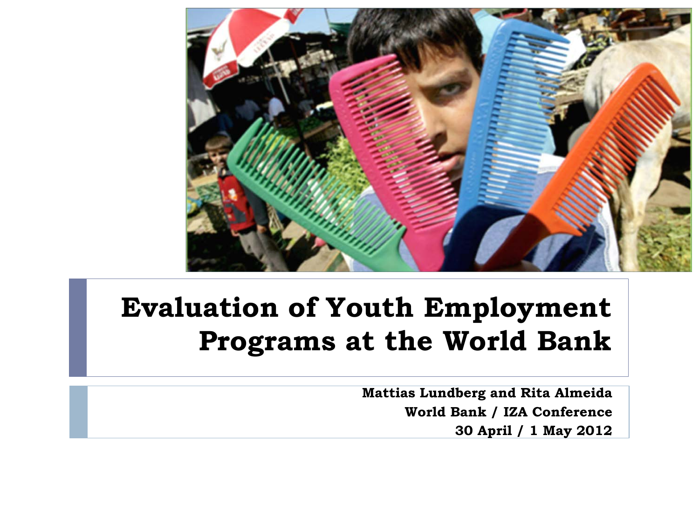

#### **Evaluation of Youth Employment Programs at the World Bank**

**Mattias Lundberg and Rita Almeida World Bank / IZA Conference 30 April / 1 May 2012**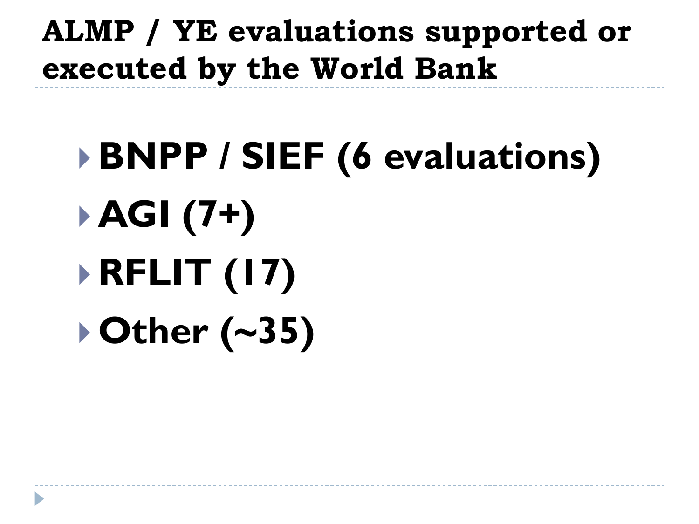#### **ALMP / YE evaluations supported or executed by the World Bank**

# **BNPP / SIEF (6 evaluations) AGI (7+) RFLIT (17) Other (~35)**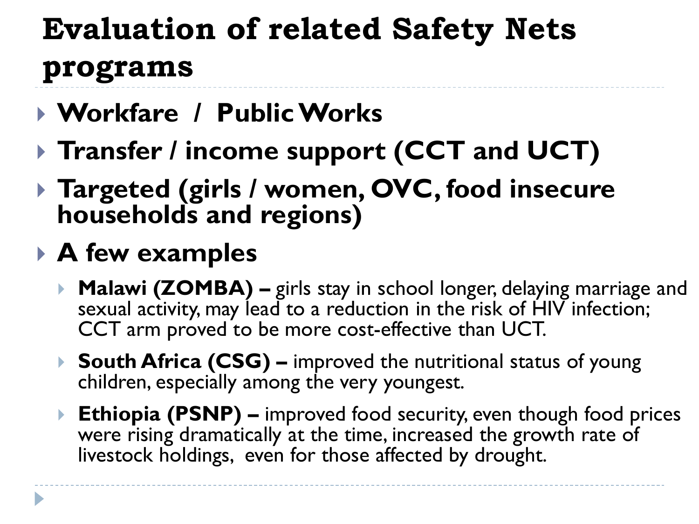## **Evaluation of related Safety Nets programs**

- **Workfare / Public Works**
- **Transfer / income support (CCT and UCT)**
- **Targeted (girls / women, OVC, food insecure households and regions)**
- **A few examples**
	- ▶ **Malawi (ZOMBA)** girls stay in school longer, delaying marriage and sexual activity, may lead to a reduction in the risk of HIV infection; CCT arm proved to be more cost-effective than UCT.
	- **South Africa (CSG) –** improved the nutritional status of young children, especially among the very youngest.
	- ▶ Ethiopia (PSNP) improved food security, even though food prices were rising dramatically at the time, increased the growth rate of livestock holdings, even for those affected by drought.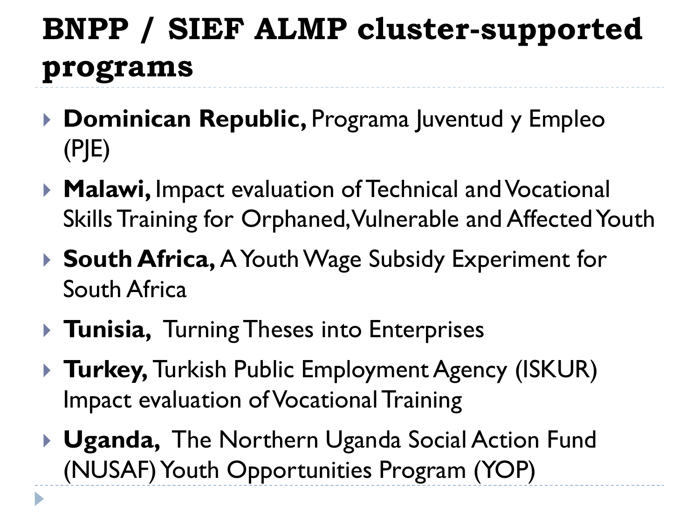# **BNPP / SIEF ALMP cluster-supported programs**

- **▶ Dominican Republic, Programa Juventud y Empleo** (PJE)
- **Malawi,** Impact evaluation of Technical and Vocational Skills Training for Orphaned, Vulnerable and Affected Youth
- ▶ **South Africa, A Youth Wage Subsidy Experiment for** South Africa
- **Tunisia,** Turning Theses into Enterprises

 $\blacktriangleright$ 

- **Turkey, Turkish Public Employment Agency (ISKUR)** Impact evaluation of Vocational Training
- **Uganda,** The Northern Uganda Social Action Fund (NUSAF) Youth Opportunities Program (YOP)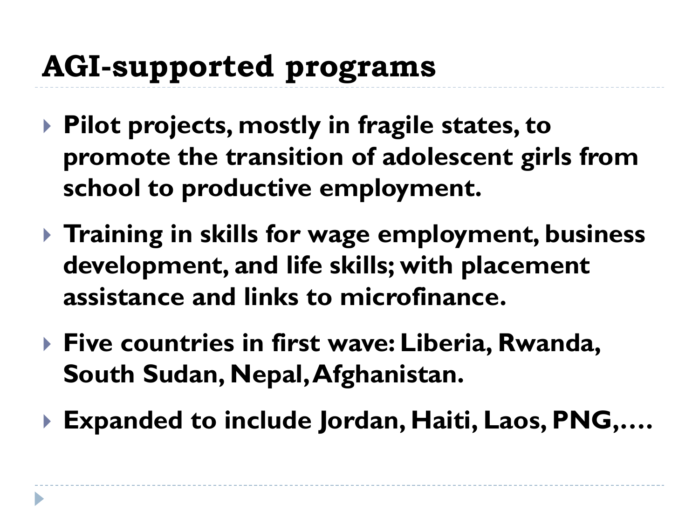#### **AGI-supported programs**

- **Pilot projects, mostly in fragile states, to promote the transition of adolescent girls from school to productive employment.**
- **Training in skills for wage employment, business development, and life skills; with placement assistance and links to microfinance.**
- ▶ Five countries in first wave: Liberia, Rwanda, **South Sudan, Nepal, Afghanistan.**
- **Expanded to include Jordan, Haiti, Laos, PNG,….**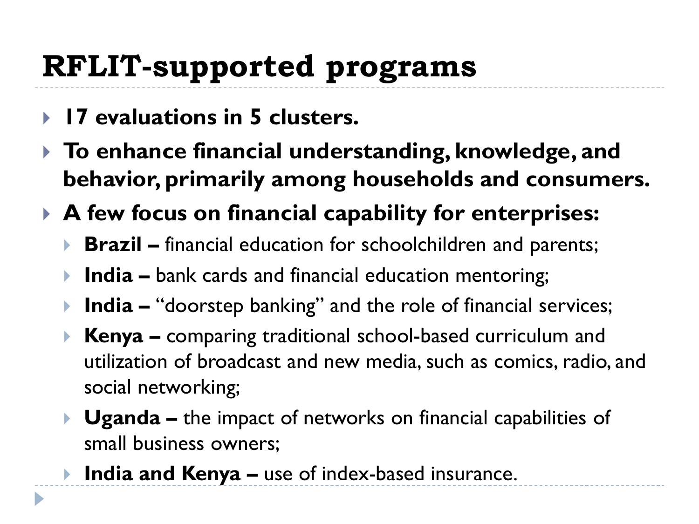# **RFLIT-supported programs**

**17 evaluations in 5 clusters.**

D

- **To enhance financial understanding, knowledge, and behavior, primarily among households and consumers.**
- **A few focus on financial capability for enterprises:**
	- **Brazil –** financial education for schoolchildren and parents;
	- **India –** bank cards and financial education mentoring;
	- **India –** "doorstep banking" and the role of financial services;
	- **Kenya –** comparing traditional school-based curriculum and utilization of broadcast and new media, such as comics, radio, and social networking;
	- **Uganda –** the impact of networks on financial capabilities of small business owners;
	- **India and Kenya –** use of index-based insurance.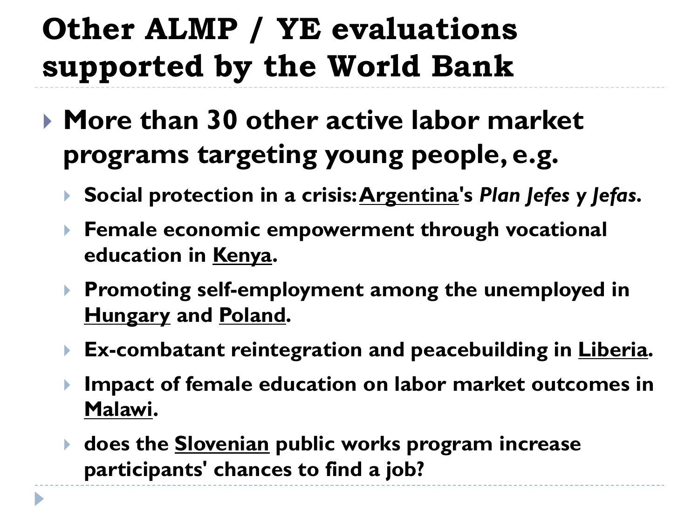## **Other ALMP / YE evaluations supported by the World Bank**

- **More than 30 other active labor market programs targeting young people, e.g.**
	- **Social protection in a crisis: Argentina's** *Plan Jefes y Jefas***.**
	- **Female economic empowerment through vocational education in Kenya.**
	- **Promoting self-employment among the unemployed in Hungary and Poland.**
	- **Ex-combatant reintegration and peacebuilding in Liberia.**
	- **Impact of female education on labor market outcomes in Malawi.**
	- **does the Slovenian public works program increase participants' chances to find a job?**

b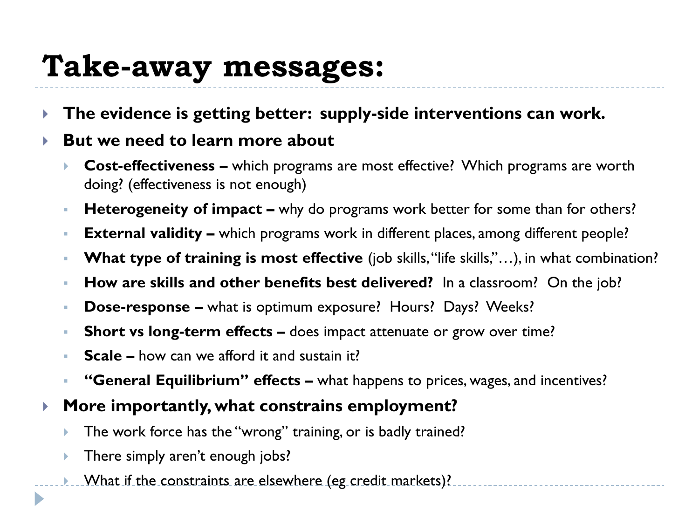#### **Take-away messages:**

- **The evidence is getting better: supply-side interventions can work.**
- **But we need to learn more about**
	- **Cost-effectiveness –** which programs are most effective? Which programs are worth doing? (effectiveness is not enough)
	- **Heterogeneity of impact –** why do programs work better for some than for others?
	- **External validity –** which programs work in different places, among different people?
	- **What type of training is most effective** (job skills, "life skills,"...), in what combination?
	- **How are skills and other benefits best delivered?** In a classroom? On the job?
	- **Dose-response –** what is optimum exposure? Hours? Days? Weeks?
	- **Short vs long-term effects –** does impact attenuate or grow over time?
	- **Scale –** how can we afford it and sustain it?
	- **"General Equilibrium" effects –** what happens to prices, wages, and incentives?
- **More importantly, what constrains employment?**
	- The work force has the "wrong" training, or is badly trained?
	- There simply aren't enough jobs?

 $\blacktriangleright$ 

**Mhat if the constraints are elsewhere (eg credit markets)?**